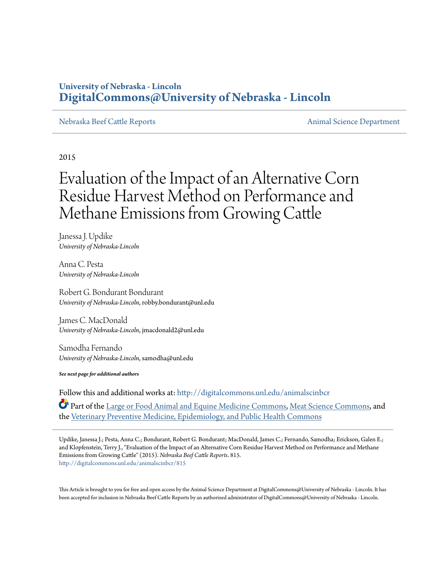### **University of Nebraska - Lincoln [DigitalCommons@University of Nebraska - Lincoln](http://digitalcommons.unl.edu?utm_source=digitalcommons.unl.edu%2Fanimalscinbcr%2F815&utm_medium=PDF&utm_campaign=PDFCoverPages)**

#### [Nebraska Beef Cattle Reports](http://digitalcommons.unl.edu/animalscinbcr?utm_source=digitalcommons.unl.edu%2Fanimalscinbcr%2F815&utm_medium=PDF&utm_campaign=PDFCoverPages) [Animal Science Department](http://digitalcommons.unl.edu/ag_animal?utm_source=digitalcommons.unl.edu%2Fanimalscinbcr%2F815&utm_medium=PDF&utm_campaign=PDFCoverPages)

2015

# Evaluation of the Impact of an Alternative Corn Residue Harvest Method on Performance and Methane Emissions from Growing Cattle

Janessa J. Updike *University of Nebraska-Lincoln*

Anna C. Pesta *University of Nebraska-Lincoln*

Robert G. Bondurant Bondurant *University of Nebraska-Lincoln*, robby.bondurant@unl.edu

James C. MacDonald *University of Nebraska-Lincoln*, jmacdonald2@unl.edu

Samodha Fernando *University of Nebraska-Lincoln*, samodha@unl.edu

*See next page for additional authors*

Follow this and additional works at: [http://digitalcommons.unl.edu/animalscinbcr](http://digitalcommons.unl.edu/animalscinbcr?utm_source=digitalcommons.unl.edu%2Fanimalscinbcr%2F815&utm_medium=PDF&utm_campaign=PDFCoverPages)

Part of the [Large or Food Animal and Equine Medicine Commons](http://network.bepress.com/hgg/discipline/766?utm_source=digitalcommons.unl.edu%2Fanimalscinbcr%2F815&utm_medium=PDF&utm_campaign=PDFCoverPages), [Meat Science Commons,](http://network.bepress.com/hgg/discipline/1301?utm_source=digitalcommons.unl.edu%2Fanimalscinbcr%2F815&utm_medium=PDF&utm_campaign=PDFCoverPages) and the [Veterinary Preventive Medicine, Epidemiology, and Public Health Commons](http://network.bepress.com/hgg/discipline/769?utm_source=digitalcommons.unl.edu%2Fanimalscinbcr%2F815&utm_medium=PDF&utm_campaign=PDFCoverPages)

Updike, Janessa J.; Pesta, Anna C.; Bondurant, Robert G. Bondurant; MacDonald, James C.; Fernando, Samodha; Erickson, Galen E.; and Klopfenstein, Terry J., "Evaluation of the Impact of an Alternative Corn Residue Harvest Method on Performance and Methane Emissions from Growing Cattle" (2015). *Nebraska Beef Cattle Reports*. 815. [http://digitalcommons.unl.edu/animalscinbcr/815](http://digitalcommons.unl.edu/animalscinbcr/815?utm_source=digitalcommons.unl.edu%2Fanimalscinbcr%2F815&utm_medium=PDF&utm_campaign=PDFCoverPages)

This Article is brought to you for free and open access by the Animal Science Department at DigitalCommons@University of Nebraska - Lincoln. It has been accepted for inclusion in Nebraska Beef Cattle Reports by an authorized administrator of DigitalCommons@University of Nebraska - Lincoln.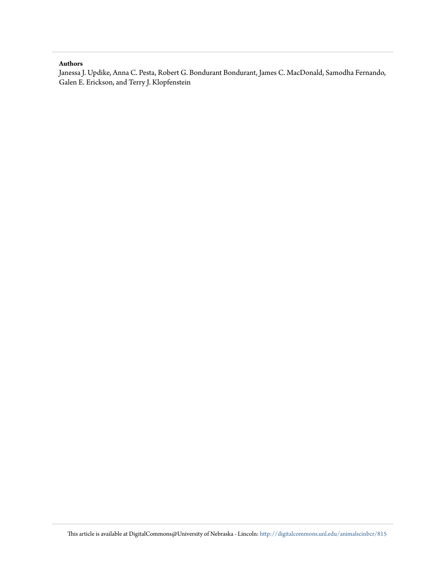#### **Authors**

Janessa J. Updike, Anna C. Pesta, Robert G. Bondurant Bondurant, James C. MacDonald, Samodha Fernando, Galen E. Erickson, and Terry J. Klopfenstein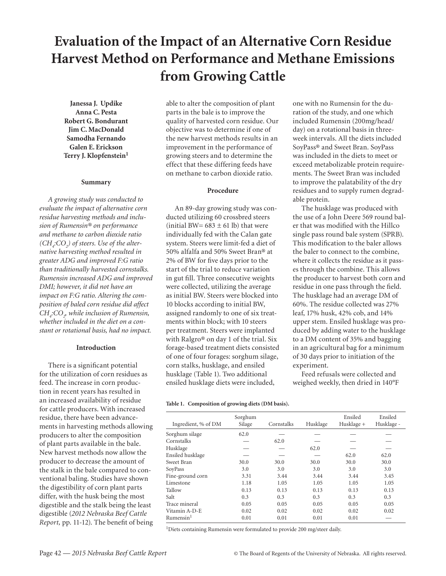## **Evaluation of the Impact of an Alternative Corn Residue Harvest Method on Performance and Methane Emissions from Growing Cattle**

**Janessa J. Updike Anna C. Pesta Robert G. Bondurant Jim C. MacDonald Samodha Fernando Galen E. Erickson Terry J. Klopfenstein<sup>1</sup>**

#### **Summary**

*A growing study was conducted to evaluate the impact of alternative corn residue harvesting methods and inclusion of Rumensin® on performance and methane to carbon dioxide ratio (CH4 :CO2 ) of steers. Use of the alternative harvesting method resulted in greater ADG and improved F:G ratio than traditionally harvested cornstalks. Rumensin increased ADG and improved DMI; however, it did not have an impact on F:G ratio. Altering the composition of baled corn residue did affect CH4 :CO2 , while inclusion of Rumensin, whether included in the diet on a constant or rotational basis, had no impact.* 

#### **Introduction**

There is a significant potential for the utilization of corn residues as feed. The increase in corn production in recent years has resulted in an increased availability of residue for cattle producers. With increased residue, there have been advancements in harvesting methods allowing producers to alter the composition of plant parts available in the bale. New harvest methods now allow the producer to decrease the amount of the stalk in the bale compared to conventional baling. Studies have shown the digestibility of corn plant parts differ, with the husk being the most digestible and the stalk being the least digestible (*2012 Nebraska Beef Cattle Report,* pp. 11-12). The benefit of being able to alter the composition of plant parts in the bale is to improve the quality of harvested corn residue. Our objective was to determine if one of the new harvest methods results in an improvement in the performance of growing steers and to determine the effect that these differing feeds have on methane to carbon dioxide ratio.

#### **Procedure**

An 89-day growing study was conducted utilizing 60 crossbred steers (initial BW=  $683 \pm 61$  lb) that were individually fed with the Calan gate system. Steers were limit-fed a diet of 50% alfalfa and 50% Sweet Bran® at 2% of BW for five days prior to the start of the trial to reduce variation in gut fill. Three consecutive weights were collected, utilizing the average as initial BW. Steers were blocked into 10 blocks according to initial BW, assigned randomly to one of six treatments within block; with 10 steers per treatment. Steers were implanted with Ralgro® on day 1 of the trial. Six forage-based treatment diets consisted of one of four forages: sorghum silage, corn stalks, husklage, and ensiled husklage (Table 1). Two additional ensiled husklage diets were included,

**Table 1. Composition of growing diets (DM basis).**

one with no Rumensin for the duration of the study, and one which included Rumensin (200mg/head/ day) on a rotational basis in threeweek intervals. All the diets included SoyPass® and Sweet Bran. SoyPass was included in the diets to meet or exceed metabolizable protein requirements. The Sweet Bran was included to improve the palatability of the dry residues and to supply rumen degradable protein.

The husklage was produced with the use of a John Deere 569 round baler that was modified with the Hillco single pass round bale system (SPRB). This modification to the baler allows the baler to connect to the combine, where it collects the residue as it passes through the combine. This allows the producer to harvest both corn and residue in one pass through the field. The husklage had an average DM of 60%. The residue collected was 27% leaf, 17% husk, 42% cob, and 14% upper stem. Ensiled husklage was produced by adding water to the husklage to a DM content of 35% and bagging in an agricultural bag for a minimum of 30 days prior to initiation of the experiment.

Feed refusals were collected and weighed weekly, then dried in 140°F

|                       | Sorghum |            |          | Ensiled    | Ensiled    |
|-----------------------|---------|------------|----------|------------|------------|
| Ingredient, % of DM   | Silage  | Cornstalks | Husklage | Husklage + | Husklage - |
|                       |         |            |          |            |            |
| Sorghum silage        | 62.0    |            |          |            |            |
| Cornstalks            |         | 62.0       |          |            |            |
| Husklage              |         |            | 62.0     |            |            |
| Ensiled husklage      |         |            |          | 62.0       | 62.0       |
| Sweet Bran            | 30.0    | 30.0       | 30.0     | 30.0       | 30.0       |
| SoyPass               | 3.0     | 3.0        | 3.0      | 3.0        | 3.0        |
| Fine-ground corn      | 3.31    | 3.44       | 3.44     | 3.44       | 3.45       |
| Limestone             | 1.18    | 1.05       | 1.05     | 1.05       | 1.05       |
| Tallow                | 0.13    | 0.13       | 0.13     | 0.13       | 0.13       |
| Salt                  | 0.3     | 0.3        | 0.3      | 0.3        | 0.3        |
| Trace mineral         | 0.05    | 0.05       | 0.05     | 0.05       | 0.05       |
| Vitamin A-D-E         | 0.02    | 0.02       | 0.02     | 0.02       | 0.02       |
| Rumensin <sup>1</sup> | 0.01    | 0.01       | 0.01     | 0.01       |            |

<sup>1</sup>Diets containing Rumensin were formulated to provide 200 mg/steer daily.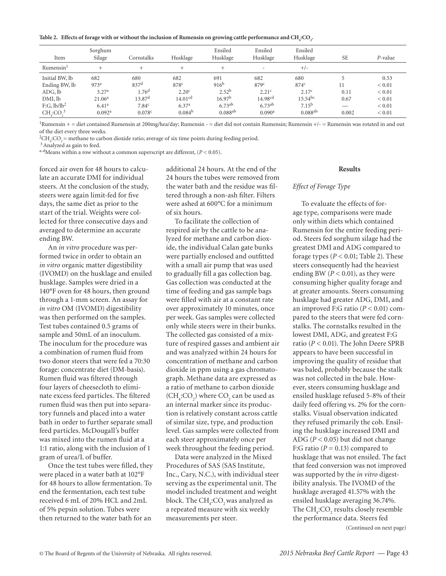Table 2. Effects of forage with or without the inclusion of Rumensin on growing cattle performance and  $\text{CH}_{4}\text{:CO}_{2}$ 

| Item                    | Sorghum<br>Silage  | Cornstalks         | Husklage            | Ensiled<br>Husklage   | Ensiled<br>Husklage      | Ensiled<br>Husklage   | <b>SE</b> | P-value    |
|-------------------------|--------------------|--------------------|---------------------|-----------------------|--------------------------|-----------------------|-----------|------------|
| Rumensin <sup>1</sup>   | ÷                  | $^{+}$             | ┶                   | $\pm$                 | $\overline{\phantom{a}}$ | $+/-$                 |           |            |
| Initial BW, lb          | 682                | 680                | 682                 | 691                   | 682                      | 680                   |           | 0.53       |
| Ending BW, lb           | 973 <sup>a</sup>   | 837 <sup>d</sup>   | 878 <sup>c</sup>    | $916^{b}$             | 879 <sup>c</sup>         | $874^{\circ}$         | 11        | ${}< 0.01$ |
| ADG, lb                 | 3.27 <sup>a</sup>  | 1.76 <sup>d</sup>  | 2.20 <sup>c</sup>   | $2.52^{b}$            | 2.21 <sup>c</sup>        | 2.17 <sup>c</sup>     | 0.11      | ${}< 0.01$ |
| DMI, lb                 | 21.06 <sup>a</sup> | 13.87 <sup>d</sup> | 14.01 <sup>cd</sup> | 16.97 <sup>b</sup>    | 14.98 <sup>cd</sup>      | $15.54^{bc}$          | 0.67      | ${}< 0.01$ |
| F:G, lb/lb <sup>2</sup> | 6.41 <sup>a</sup>  | 7.84 <sup>c</sup>  | 6.37 <sup>a</sup>   | 6.73ab                | $6.73^{ab}$              | 7.15 <sup>b</sup>     |           | ${}< 0.01$ |
| $CH$ : $CO3$            | 0.092 <sup>a</sup> | 0.078c             | 0.084 <sup>b</sup>  | $0.088$ <sup>ab</sup> | 0.090 <sup>a</sup>       | $0.088$ <sup>ab</sup> | 0.002     | ${}< 0.01$ |

1Rumensin + = diet contained Rumensin at 200mg/hea/day; Rumensin - = diet did not contain Rumensin; Rumensin +/- = Rumensin was rotated in and out of the diet every three weeks.

 ${}^{2}CH_{4}$ :CO<sub>2</sub> = methane to carbon dioxide ratio; average of six time points during feeding period.<br><sup>3</sup> Analyzed as gain to feed.

a-d<sub>Means</sub> within a row without a common superscript are different,  $(P < 0.05)$ .

forced air oven for 48 hours to calculate an accurate DMI for individual steers. At the conclusion of the study, steers were again limit-fed for five days, the same diet as prior to the start of the trial. Weights were collected for three consecutive days and averaged to determine an accurate ending BW.

An *in vitro* procedure was performed twice in order to obtain an *in vitro* organic matter digestibility (IVOMD) on the husklage and ensiled husklage. Samples were dried in a 140°F oven for 48 hours, then ground through a 1-mm screen. An assay for *in vitro* OM (IVOMD) digestibility was then performed on the samples. Test tubes contained 0.5 grams of sample and 50mL of an inoculum. The inoculum for the procedure was a combination of rumen fluid from two donor steers that were fed a 70:30 forage: concentrate diet (DM-basis). Rumen fluid was filtered through four layers of cheesecloth to eliminate excess feed particles. The filtered rumen fluid was then put into separatory funnels and placed into a water bath in order to further separate small feed particles. McDougall's buffer was mixed into the rumen fluid at a 1:1 ratio, along with the inclusion of 1 gram of urea/L of buffer.

Once the test tubes were filled, they were placed in a water bath at 102°F for 48 hours to allow fermentation. To end the fermentation, each test tube received 6 mL of 20% HCL and 2mL of 5% pepsin solution. Tubes were then returned to the water bath for an

additional 24 hours. At the end of the 24 hours the tubes were removed from the water bath and the residue was filtered through a non-ash filter. Filters were ashed at 600°C for a minimum of six hours.

To facilitate the collection of respired air by the cattle to be analyzed for methane and carbon dioxide, the individual Calan gate bunks were partially enclosed and outfitted with a small air pump that was used to gradually fill a gas collection bag. Gas collection was conducted at the time of feeding and gas sample bags were filled with air at a constant rate over approximately 10 minutes, once per week. Gas samples were collected only while steers were in their bunks. The collected gas consisted of a mixture of respired gasses and ambient air and was analyzed within 24 hours for concentration of methane and carbon dioxide in ppm using a gas chromatograph. Methane data are expressed as a ratio of methane to carbon dioxide  $(\mathrm{CH}_4\text{:}CO_2)$  where  $\mathrm{CO}_2$  can be used as an internal marker since its production is relatively constant across cattle of similar size, type, and production level. Gas samples were collected from each steer approximately once per week throughout the feeding period.

Data were analyzed in the Mixed Procedures of SAS (SAS Institute, Inc., Cary, N.C.), with individual steer serving as the experimental unit. The model included treatment and weight block. The  $\mathrm{CH}_4\text{:} \mathrm{CO}_2$  was analyzed as a repeated measure with six weekly measurements per steer.

#### **Results**

#### *Effect of Forage Type*

To evaluate the effects of forage type, comparisons were made only within diets which contained Rumensin for the entire feeding period. Steers fed sorghum silage had the greatest DMI and ADG compared to forage types  $(P < 0.01$ ; Table 2). These steers consequently had the heaviest ending BW  $(P < 0.01)$ , as they were consuming higher quality forage and at greater amounts. Steers consuming husklage had greater ADG, DMI, and an improved F:G ratio (*P* < 0.01) compared to the steers that were fed cornstalks. The cornstalks resulted in the lowest DMI, ADG, and greatest F:G ratio (*P* < 0.01). The John Deere SPRB appears to have been successful in improving the quality of residue that was baled, probably because the stalk was not collected in the bale. However, steers consuming husklage and ensiled husklage refused 5-8% of their daily feed offering vs. 2% for the cornstalks. Visual observation indicated they refused primarily the cob. Ensiling the husklage increased DMI and ADG (*P <* 0.05) but did not change F:G ratio  $(P = 0.13)$  compared to husklage that was not ensiled. The fact that feed conversion was not improved was supported by the *in vitro* digestibility analysis. The IVOMD of the husklage averaged 41.57% with the ensiled husklage averaging 36.74%. The  $\mathrm{CH}_4\text{:}CO_2$  results closely resemble the performance data. Steers fed

(Continued on next page)